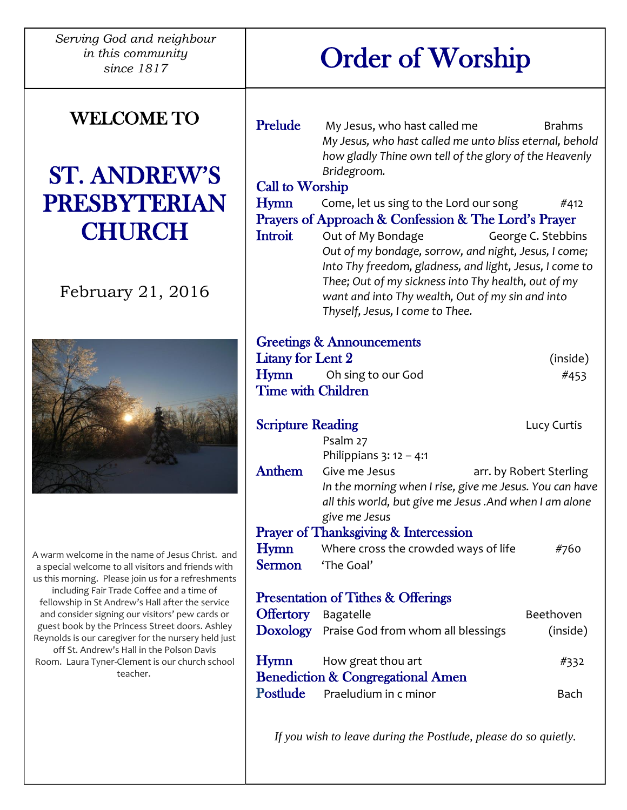*Serving God and neighbour in this community since 1817*

## WELCOME TO

## ST. ANDREW'S PRESBYTERIAN **CHURCH**

### February 21, 2016



A warm welcome in the name of Jesus Christ. and a special welcome to all visitors and friends with us this morning. Please join us for a refreshments including Fair Trade Coffee and a time of fellowship in St Andrew's Hall after the service and consider signing our visitors' pew cards or guest book by the Princess Street doors. Ashley Reynolds is our caregiver for the nursery held just off St. Andrew's Hall in the Polson Davis Room. Laura Tyner-Clement is our church school teacher.

# Order of Worship

| Prelude                                              | My Jesus, who hast called me<br>My Jesus, who hast called me unto bliss eternal, behold<br>how gladly Thine own tell of the glory of the Heavenly<br>Bridegroom.                                                                                                                   | <b>Brahms</b>      |  |
|------------------------------------------------------|------------------------------------------------------------------------------------------------------------------------------------------------------------------------------------------------------------------------------------------------------------------------------------|--------------------|--|
| <b>Call to Worship</b>                               |                                                                                                                                                                                                                                                                                    |                    |  |
| Hymn                                                 | Come, let us sing to the Lord our song                                                                                                                                                                                                                                             | #412               |  |
| Prayers of Approach & Confession & The Lord's Prayer |                                                                                                                                                                                                                                                                                    |                    |  |
| <b>Introit</b>                                       | Out of My Bondage<br>Out of my bondage, sorrow, and night, Jesus, I come;<br>Into Thy freedom, gladness, and light, Jesus, I come to<br>Thee; Out of my sickness into Thy health, out of my<br>want and into Thy wealth, Out of my sin and into<br>Thyself, Jesus, I come to Thee. | George C. Stebbins |  |
| <b>Greetings &amp; Announcements</b>                 |                                                                                                                                                                                                                                                                                    |                    |  |
| <b>Litany for Lent 2</b>                             |                                                                                                                                                                                                                                                                                    | (inside)           |  |
| Hymn                                                 | Oh sing to our God                                                                                                                                                                                                                                                                 | #453               |  |
| <b>Time with Children</b>                            |                                                                                                                                                                                                                                                                                    |                    |  |
| <b>Scripture Reading</b>                             | Psalm 27                                                                                                                                                                                                                                                                           | Lucy Curtis        |  |
| <b>Anthem</b>                                        | Philippians $3: 12 - 4:1$<br>Give me Jesus<br>arr. by Robert Sterling<br>In the morning when I rise, give me Jesus. You can have<br>all this world, but give me Jesus .And when I am alone<br>give me Jesus                                                                        |                    |  |
|                                                      | <b>Prayer of Thanksgiving &amp; Intercession</b>                                                                                                                                                                                                                                   |                    |  |
| Hymn<br>Sermon                                       | Where cross the crowded ways of life<br>'The Goal'                                                                                                                                                                                                                                 | #760               |  |
|                                                      | <b>Presentation of Tithes &amp; Offerings</b>                                                                                                                                                                                                                                      |                    |  |
| <b>Offertory</b> Bagatelle                           |                                                                                                                                                                                                                                                                                    | Beethoven          |  |
|                                                      | Doxology Praise God from whom all blessings                                                                                                                                                                                                                                        | (inside)           |  |
| Hymn                                                 | How great thou art<br><b>Benediction &amp; Congregational Amen</b>                                                                                                                                                                                                                 | #332               |  |
| Postlude                                             | Praeludium in c minor                                                                                                                                                                                                                                                              | Bach               |  |

*If you wish to leave during the Postlude, please do so quietly.*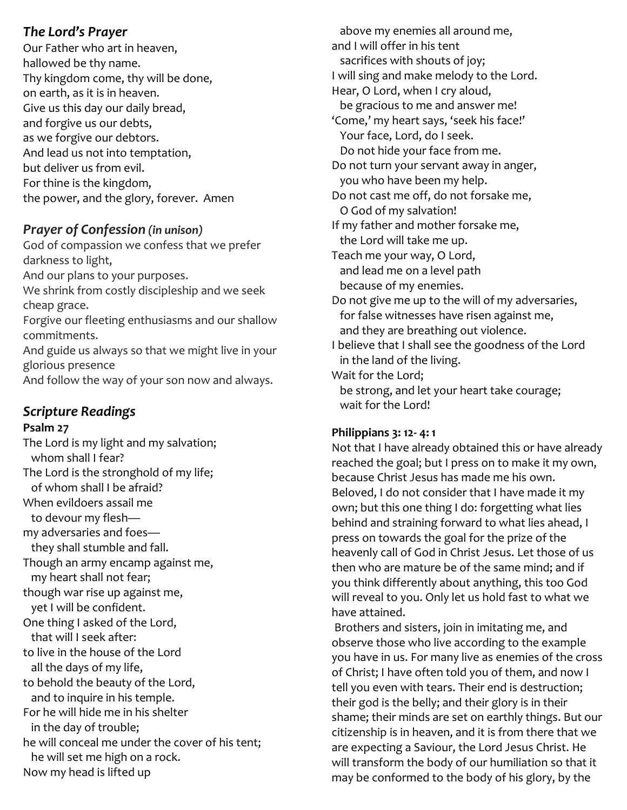#### *The Lord's Prayer*

Our Father who art in heaven, hallowed be thy name. Thy kingdom come, thy will be done, on earth, as it is in heaven. Give us this day our daily bread, and forgive us our debts, as we forgive our debtors. And lead us not into temptation, but deliver us from evil. For thine is the kingdom, the power, and the glory, forever. Amen

#### *Prayer of Confession (in unison)*

God of compassion we confess that we prefer darkness to light, And our plans to your purposes. We shrink from costly discipleship and we seek cheap grace. Forgive our fleeting enthusiasms and our shallow commitments. And guide us always so that we might live in your glorious presence And follow the way of your son now and always.

#### *Scripture Readings*

#### **Psalm 27**

The Lord is my light and my salvation; whom shall I fear? The Lord is the stronghold of my life; of whom shall I be afraid? When evildoers assail me to devour my flesh my adversaries and foes they shall stumble and fall. Though an army encamp against me, my heart shall not fear; though war rise up against me, yet I will be confident. One thing I asked of the Lord, that will I seek after: to live in the house of the Lord all the days of my life, to behold the beauty of the Lord, and to inquire in his temple. For he will hide me in his shelter in the day of trouble; he will conceal me under the cover of his tent; he will set me high on a rock. Now my head is lifted up

 above my enemies all around me, and I will offer in his tent sacrifices with shouts of joy; I will sing and make melody to the Lord. Hear, O Lord, when I cry aloud, be gracious to me and answer me! 'Come,' my heart says, 'seek his face!' Your face, Lord, do I seek. Do not hide your face from me. Do not turn your servant away in anger, you who have been my help. Do not cast me off, do not forsake me, O God of my salvation! If my father and mother forsake me, the Lord will take me up. Teach me your way, O Lord, and lead me on a level path because of my enemies. Do not give me up to the will of my adversaries, for false witnesses have risen against me, and they are breathing out violence. I believe that I shall see the goodness of the Lord in the land of the living. Wait for the Lord;

 be strong, and let your heart take courage; wait for the Lord!

#### **Philippians 3: 12- 4: 1**

Not that I have already obtained this or have already reached the goal; but I press on to make it my own, because Christ Jesus has made me his own. Beloved, I do not consider that I have made it my own; but this one thing I do: forgetting what lies behind and straining forward to what lies ahead, I press on towards the goal for the prize of the heavenly call of God in Christ Jesus. Let those of us then who are mature be of the same mind; and if you think differently about anything, this too God will reveal to you. Only let us hold fast to what we have attained.

Brothers and sisters, join in imitating me, and observe those who live according to the example you have in us. For many live as enemies of the cross of Christ; I have often told you of them, and now I tell you even with tears. Their end is destruction; their god is the belly; and their glory is in their shame; their minds are set on earthly things. But our citizenship is in heaven, and it is from there that we are expecting a Saviour, the Lord Jesus Christ. He will transform the body of our humiliation so that it may be conformed to the body of his glory, by the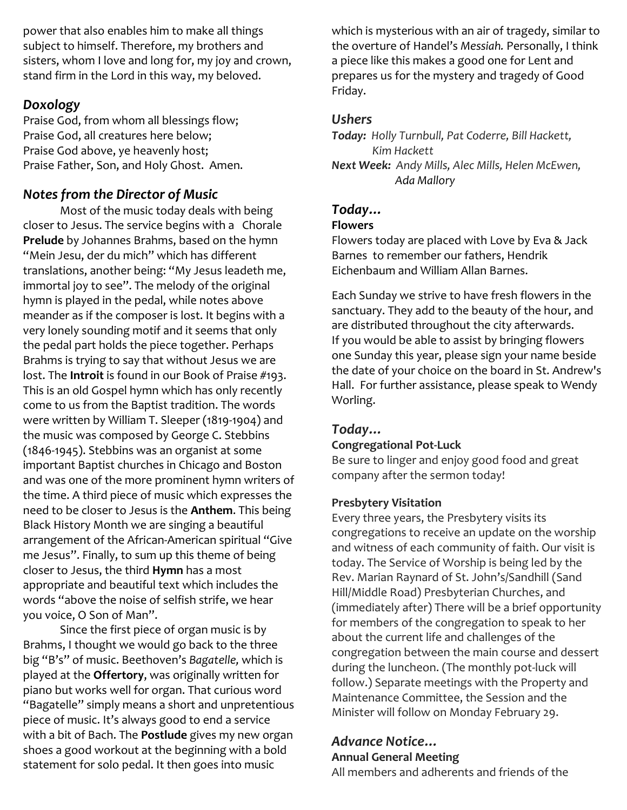power that also enables him to make all things subject to himself. Therefore, my brothers and sisters, whom I love and long for, my joy and crown, stand firm in the Lord in this way, my beloved.

#### *Doxology*

Praise God, from whom all blessings flow; Praise God, all creatures here below; Praise God above, ye heavenly host; Praise Father, Son, and Holy Ghost. Amen.

#### *Notes from the Director of Music*

Most of the music today deals with being closer to Jesus. The service begins with a Chorale **Prelude** by Johannes Brahms, based on the hymn "Mein Jesu, der du mich" which has different translations, another being: "My Jesus leadeth me, immortal joy to see". The melody of the original hymn is played in the pedal, while notes above meander as if the composer is lost. It begins with a very lonely sounding motif and it seems that only the pedal part holds the piece together. Perhaps Brahms is trying to say that without Jesus we are lost. The **Introit** is found in our Book of Praise #193. This is an old Gospel hymn which has only recently come to us from the Baptist tradition. The words were written by William T. Sleeper (1819-1904) and the music was composed by George C. Stebbins (1846-1945). Stebbins was an organist at some important Baptist churches in Chicago and Boston and was one of the more prominent hymn writers of the time. A third piece of music which expresses the need to be closer to Jesus is the **Anthem**. This being Black History Month we are singing a beautiful arrangement of the African-American spiritual "Give me Jesus". Finally, to sum up this theme of being closer to Jesus, the third **Hymn** has a most appropriate and beautiful text which includes the words "above the noise of selfish strife, we hear you voice, O Son of Man".

Since the first piece of organ music is by Brahms, I thought we would go back to the three big "B's" of music. Beethoven's *Bagatelle,* which is played at the **Offertory**, was originally written for piano but works well for organ. That curious word "Bagatelle" simply means a short and unpretentious piece of music. It's always good to end a service with a bit of Bach. The **Postlude** gives my new organ shoes a good workout at the beginning with a bold statement for solo pedal. It then goes into music

which is mysterious with an air of tragedy, similar to the overture of Handel's *Messiah.* Personally, I think a piece like this makes a good one for Lent and prepares us for the mystery and tragedy of Good Friday.

#### *Ushers*

*Today: Holly Turnbull, Pat Coderre, Bill Hackett, Kim Hackett Next Week: Andy Mills, Alec Mills, Helen McEwen, Ada Mallory*

## *Today…*

#### **Flowers**

Flowers today are placed with Love by Eva & Jack Barnes to remember our fathers, Hendrik Eichenbaum and William Allan Barnes.

Each Sunday we strive to have fresh flowers in the sanctuary. They add to the beauty of the hour, and are distributed throughout the city afterwards. If you would be able to assist by bringing flowers one Sunday this year, please sign your name beside the date of your choice on the board in St. Andrew's Hall. For further assistance, please speak to Wendy Worling.

#### *Today…*

#### **Congregational Pot-Luck**

Be sure to linger and enjoy good food and great company after the sermon today!

#### **Presbytery Visitation**

Every three years, the Presbytery visits its congregations to receive an update on the worship and witness of each community of faith. Our visit is today. The Service of Worship is being led by the Rev. Marian Raynard of St. John's/Sandhill (Sand Hill/Middle Road) Presbyterian Churches, and (immediately after) There will be a brief opportunity for members of the congregation to speak to her about the current life and challenges of the congregation between the main course and dessert during the luncheon. (The monthly pot-luck will follow.) Separate meetings with the Property and Maintenance Committee, the Session and the Minister will follow on Monday February 29.

#### *Advance Notice…*

#### **Annual General Meeting**

All members and adherents and friends of the